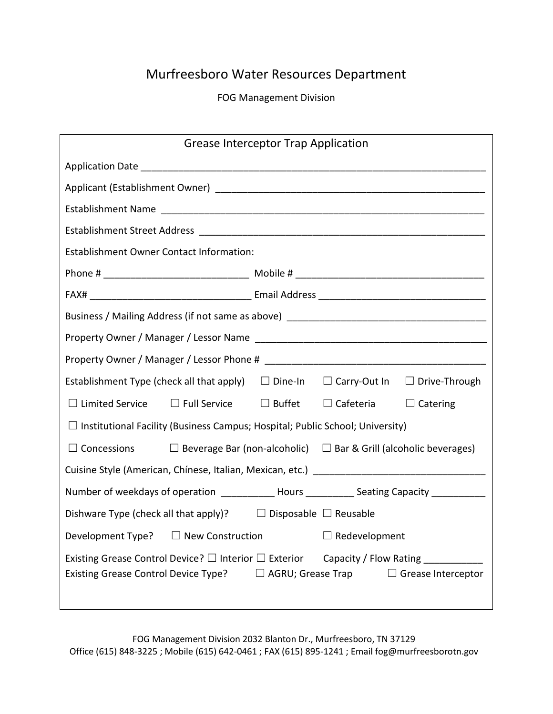# Murfreesboro Water Resources Department

FOG Management Division

| <b>Grease Interceptor Trap Application</b>                                                                                                                                                                   |                                                                |                  |                 |  |
|--------------------------------------------------------------------------------------------------------------------------------------------------------------------------------------------------------------|----------------------------------------------------------------|------------------|-----------------|--|
|                                                                                                                                                                                                              |                                                                |                  |                 |  |
|                                                                                                                                                                                                              |                                                                |                  |                 |  |
|                                                                                                                                                                                                              |                                                                |                  |                 |  |
|                                                                                                                                                                                                              |                                                                |                  |                 |  |
| <b>Establishment Owner Contact Information:</b>                                                                                                                                                              |                                                                |                  |                 |  |
|                                                                                                                                                                                                              |                                                                |                  |                 |  |
|                                                                                                                                                                                                              |                                                                |                  |                 |  |
| Business / Mailing Address (if not same as above) _______________________________                                                                                                                            |                                                                |                  |                 |  |
|                                                                                                                                                                                                              |                                                                |                  |                 |  |
|                                                                                                                                                                                                              |                                                                |                  |                 |  |
| Establishment Type (check all that apply) $\Box$ Dine-In $\Box$ Carry-Out In $\Box$ Drive-Through                                                                                                            |                                                                |                  |                 |  |
| $\Box$ Limited Service $\Box$ Full Service $\Box$ Buffet                                                                                                                                                     |                                                                | $\Box$ Cafeteria | $\Box$ Catering |  |
| $\Box$ Institutional Facility (Business Campus; Hospital; Public School; University)                                                                                                                         |                                                                |                  |                 |  |
| $\Box$ Concessions $\Box$ Beverage Bar (non-alcoholic) $\Box$ Bar & Grill (alcoholic beverages)                                                                                                              |                                                                |                  |                 |  |
|                                                                                                                                                                                                              |                                                                |                  |                 |  |
| Number of weekdays of operation _____________ Hours ___________ Seating Capacity ____________                                                                                                                |                                                                |                  |                 |  |
| Dishware Type (check all that apply)? $\Box$ Disposable $\Box$ Reusable                                                                                                                                      |                                                                |                  |                 |  |
|                                                                                                                                                                                                              | Development Type? $\Box$ New Construction $\Box$ Redevelopment |                  |                 |  |
| Existing Grease Control Device? $\square$ Interior $\square$ Exterior<br>Capacity / Flow Rating ____<br><b>Existing Grease Control Device Type?</b><br>$\Box$ AGRU; Grease Trap<br>$\Box$ Grease Interceptor |                                                                |                  |                 |  |

 FOG Management Division 2032 Blanton Dr., Murfreesboro, TN 37129 Office (615) 848-3225 ; Mobile (615) 642-0461 ; FAX (615) 895-1241 ; Email fog@murfreesborotn.gov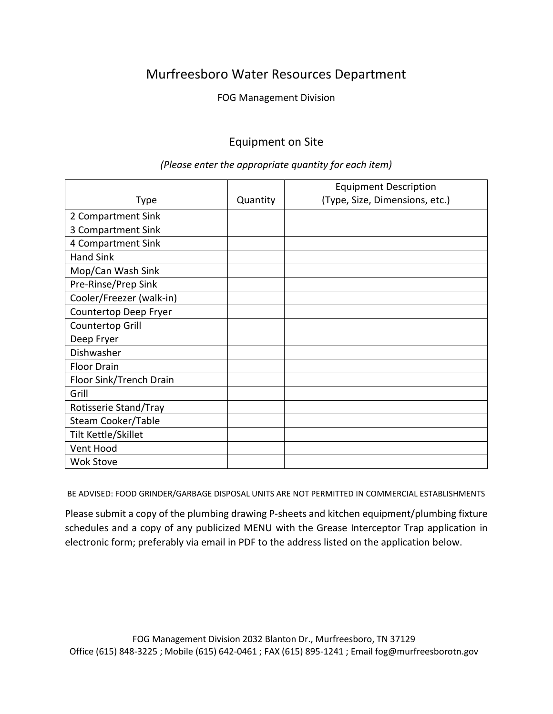## Murfreesboro Water Resources Department

FOG Management Division

### Equipment on Site

|                          |          | <b>Equipment Description</b>   |  |
|--------------------------|----------|--------------------------------|--|
| Type                     | Quantity | (Type, Size, Dimensions, etc.) |  |
| 2 Compartment Sink       |          |                                |  |
| 3 Compartment Sink       |          |                                |  |
| 4 Compartment Sink       |          |                                |  |
| <b>Hand Sink</b>         |          |                                |  |
| Mop/Can Wash Sink        |          |                                |  |
| Pre-Rinse/Prep Sink      |          |                                |  |
| Cooler/Freezer (walk-in) |          |                                |  |
| Countertop Deep Fryer    |          |                                |  |
| Countertop Grill         |          |                                |  |
| Deep Fryer               |          |                                |  |
| Dishwasher               |          |                                |  |
| <b>Floor Drain</b>       |          |                                |  |
| Floor Sink/Trench Drain  |          |                                |  |
| Grill                    |          |                                |  |
| Rotisserie Stand/Tray    |          |                                |  |
| Steam Cooker/Table       |          |                                |  |
| Tilt Kettle/Skillet      |          |                                |  |
| Vent Hood                |          |                                |  |
| <b>Wok Stove</b>         |          |                                |  |

#### *(Please enter the appropriate quantity for each item)*

BE ADVISED: FOOD GRINDER/GARBAGE DISPOSAL UNITS ARE NOT PERMITTED IN COMMERCIAL ESTABLISHMENTS

Please submit a copy of the plumbing drawing P-sheets and kitchen equipment/plumbing fixture schedules and a copy of any publicized MENU with the Grease Interceptor Trap application in electronic form; preferably via email in PDF to the address listed on the application below.